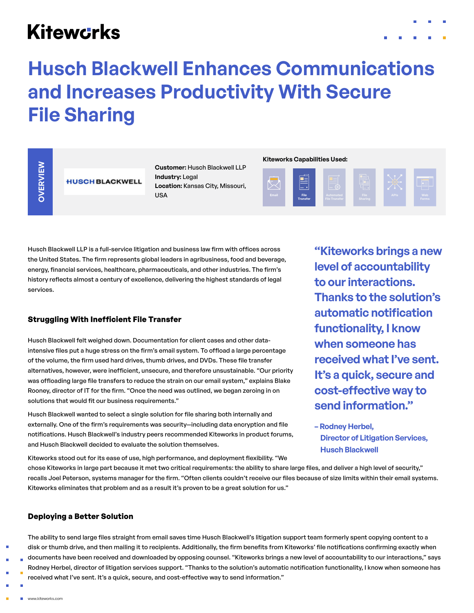## **Kitewcrks**



# **Husch Blackwell Enhances Communications and Increases Productivity With Secure File Sharing**

**Customer:** Husch Blackwell LLP **Industry: Legal Location:** Kansas City, Missouri, USA

#### **Kiteworks Capabilities Used:**



Husch Blackwell LLP is a full-service litigation and business law firm with offices across the United States. The firm represents global leaders in agribusiness, food and beverage, energy, financial services, healthcare, pharmaceuticals, and other industries. The firm's history reflects almost a century of excellence, delivering the highest standards of legal services.

#### **Struggling With Inefficient File Transfer**

Husch Blackwell felt weighed down. Documentation for client cases and other dataintensive files put a huge stress on the firm's email system. To offload a large percentage of the volume, the firm used hard drives, thumb drives, and DVDs. These file transfer alternatives, however, were inefficient, unsecure, and therefore unsustainable. "Our priority was offloading large file transfers to reduce the strain on our email system," explains Blake Rooney, director of IT for the firm. "Once the need was outlined, we began zeroing in on solutions that would fit our business requirements." Customer: Husch Blackwell LLP<br>
Industry: Legal<br>
Location: Kansas City, Missouri,<br>
USA<br>
Husch Blackwell LLP is a full-service litigation and business law firm with offices across<br>
the United States. The firm represents glob

Husch Blackwell wanted to select a single solution for file sharing both internally and externally. One of the firm's requirements was security—including data encryption and file notifications. Husch Blackwell's industry peers recommended Kiteworks in product forums, and Husch Blackwell decided to evaluate the solution themselves.

**"Kiteworks brings a new level of accountability to our interactions. Thanks to the solution's automatic notification functionality, I know when someone has received what I've sent. It's a quick, secure and cost-effective way to send information."**

**– Rodney Herbel, Director of Litigation Services, Husch Blackwell**

chose Kiteworks in large part because it met two critical requirements: the ability to share large files, and deliver a high level of security," recalls Joel Peterson, systems manager for the firm. "Often clients couldn't receive our files because of size limits within their email systems. Kiteworks eliminates that problem and as a result it's proven to be a great solution for us."

#### **Deploying a Better Solution**

The ability to send large files straight from email saves time Husch Blackwell's litigation support team formerly spent copying content to a disk or thumb drive, and then mailing it to recipients. Additionally, the firm benefits from Kiteworks' file notifications confirming exactly when documents have been received and downloaded by opposing counsel. "Kiteworks brings a new level of accountability to our interactions," says Rodney Herbel, director of litigation services support. "Thanks to the solution's automatic notification functionality, I know when someone has received what I've sent. It's a quick, secure, and cost-effective way to send information."